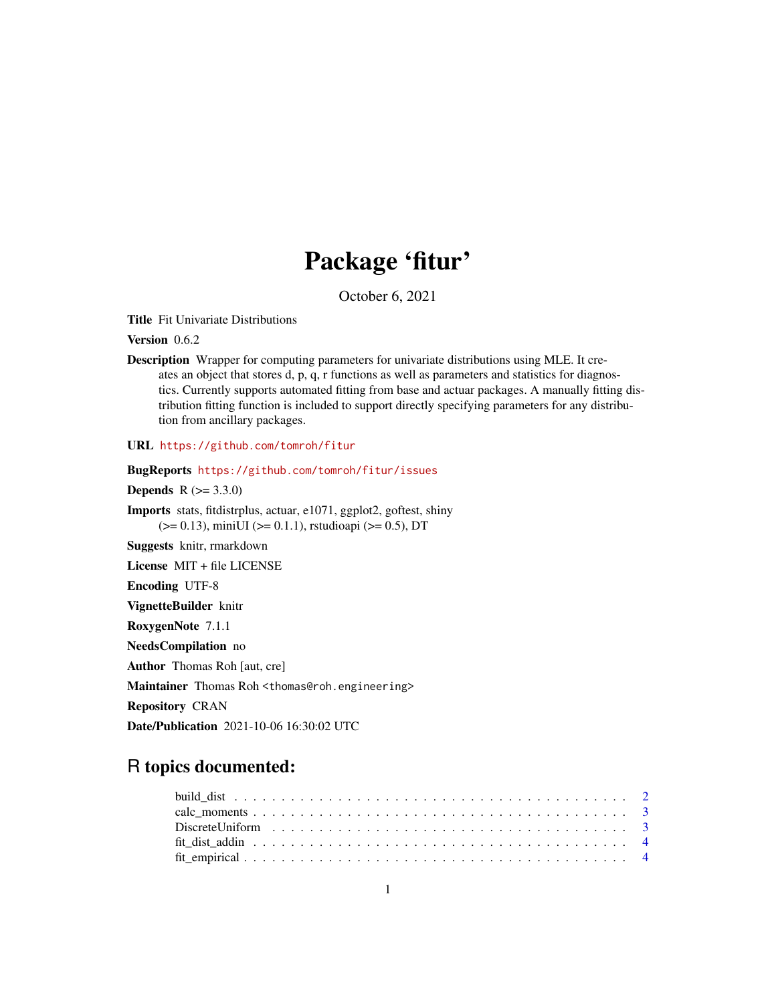## Package 'fitur'

October 6, 2021

Title Fit Univariate Distributions

Version 0.6.2

Description Wrapper for computing parameters for univariate distributions using MLE. It creates an object that stores d, p, q, r functions as well as parameters and statistics for diagnostics. Currently supports automated fitting from base and actuar packages. A manually fitting distribution fitting function is included to support directly specifying parameters for any distribution from ancillary packages.

URL <https://github.com/tomroh/fitur>

BugReports <https://github.com/tomroh/fitur/issues>

**Depends**  $R (= 3.3.0)$ 

Imports stats, fitdistrplus, actuar, e1071, ggplot2, goftest, shiny (>= 0.13), miniUI (>= 0.1.1), rstudioapi (>= 0.5), DT

Suggests knitr, rmarkdown

License MIT + file LICENSE

Encoding UTF-8

VignetteBuilder knitr

RoxygenNote 7.1.1

NeedsCompilation no

Author Thomas Roh [aut, cre]

Maintainer Thomas Roh <thomas@roh.engineering>

Repository CRAN

Date/Publication 2021-10-06 16:30:02 UTC

### R topics documented: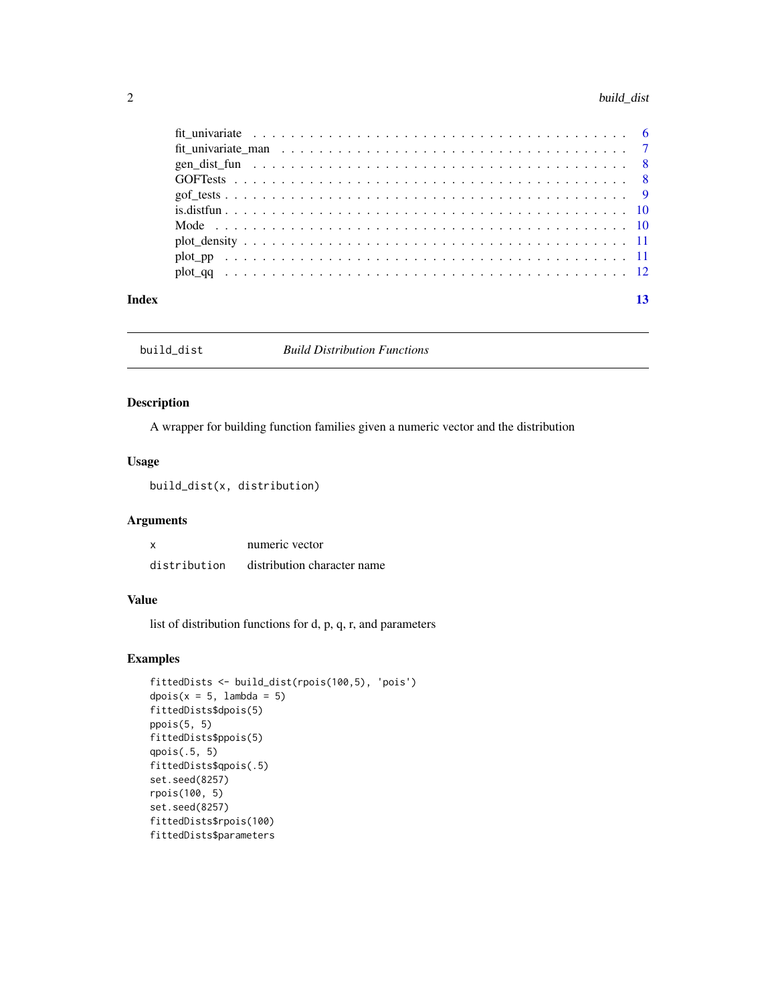#### <span id="page-1-0"></span>2 build\_dist **build\_dist**

|       | fit univariate $\ldots \ldots \ldots \ldots \ldots \ldots \ldots \ldots \ldots \ldots \ldots \ldots \ldots$ |  |  |  |  |  |  |  |  |  |  |  |  |  |  |  |
|-------|-------------------------------------------------------------------------------------------------------------|--|--|--|--|--|--|--|--|--|--|--|--|--|--|--|
|       |                                                                                                             |  |  |  |  |  |  |  |  |  |  |  |  |  |  |  |
|       |                                                                                                             |  |  |  |  |  |  |  |  |  |  |  |  |  |  |  |
|       |                                                                                                             |  |  |  |  |  |  |  |  |  |  |  |  |  |  |  |
|       |                                                                                                             |  |  |  |  |  |  |  |  |  |  |  |  |  |  |  |
|       |                                                                                                             |  |  |  |  |  |  |  |  |  |  |  |  |  |  |  |
|       |                                                                                                             |  |  |  |  |  |  |  |  |  |  |  |  |  |  |  |
|       |                                                                                                             |  |  |  |  |  |  |  |  |  |  |  |  |  |  |  |
|       |                                                                                                             |  |  |  |  |  |  |  |  |  |  |  |  |  |  |  |
|       |                                                                                                             |  |  |  |  |  |  |  |  |  |  |  |  |  |  |  |
| Index |                                                                                                             |  |  |  |  |  |  |  |  |  |  |  |  |  |  |  |

build\_dist *Build Distribution Functions*

#### Description

A wrapper for building function families given a numeric vector and the distribution

#### Usage

build\_dist(x, distribution)

#### Arguments

|              | numeric vector              |
|--------------|-----------------------------|
| distribution | distribution character name |

#### Value

list of distribution functions for d, p, q, r, and parameters

```
fittedDists <- build_dist(rpois(100,5), 'pois')
dpois(x = 5, lambda = 5)
fittedDists$dpois(5)
ppois(5, 5)
fittedDists$ppois(5)
qpois(.5, 5)
fittedDists$qpois(.5)
set.seed(8257)
rpois(100, 5)
set.seed(8257)
fittedDists$rpois(100)
fittedDists$parameters
```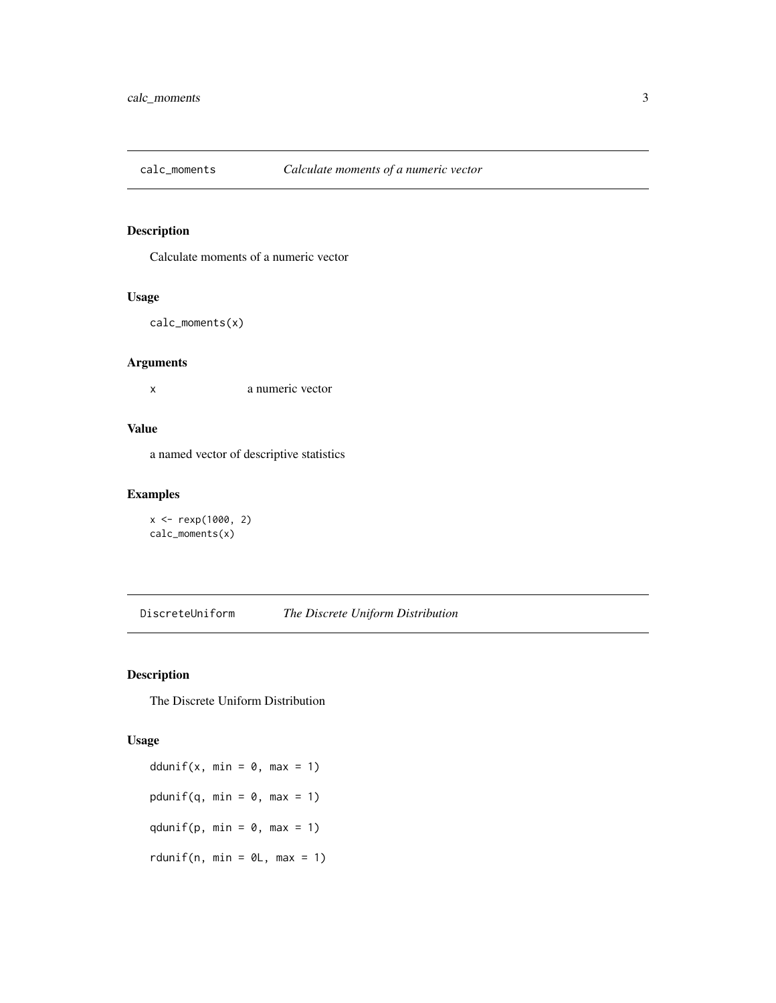<span id="page-2-0"></span>

#### Description

Calculate moments of a numeric vector

#### Usage

```
calc_moments(x)
```
#### Arguments

x a numeric vector

#### Value

a named vector of descriptive statistics

#### Examples

```
x <- rexp(1000, 2)
calc_moments(x)
```
DiscreteUniform *The Discrete Uniform Distribution*

#### Description

The Discrete Uniform Distribution

#### Usage

```
ddunif(x, min = 0, max = 1)
pdunif(q, min = 0, max = 1)
qdunif(p, min = 0, max = 1)
rdunif(n, min = \thetaL, max = 1)
```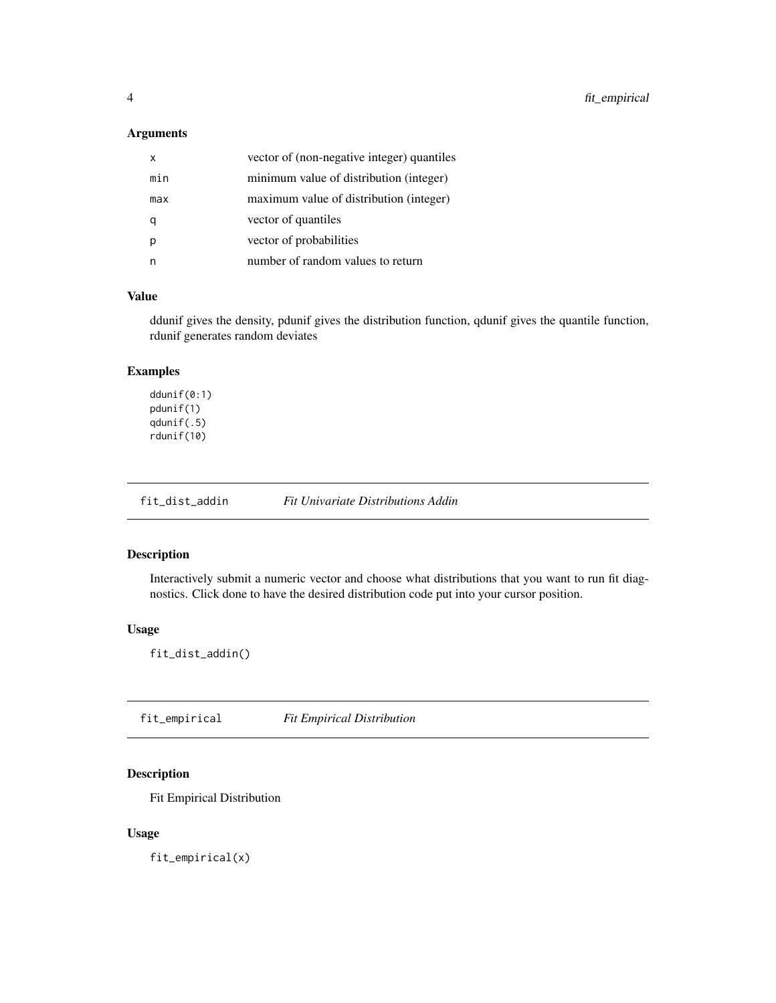#### <span id="page-3-0"></span>Arguments

| x   | vector of (non-negative integer) quantiles |
|-----|--------------------------------------------|
| min | minimum value of distribution (integer)    |
| max | maximum value of distribution (integer)    |
|     | vector of quantiles                        |
|     | vector of probabilities                    |
|     | number of random values to return          |

#### Value

ddunif gives the density, pdunif gives the distribution function, qdunif gives the quantile function, rdunif generates random deviates

#### Examples

ddunif(0:1) pdunif(1) qdunif(.5) rdunif(10)

fit\_dist\_addin *Fit Univariate Distributions Addin*

#### Description

Interactively submit a numeric vector and choose what distributions that you want to run fit diagnostics. Click done to have the desired distribution code put into your cursor position.

#### Usage

fit\_dist\_addin()

fit\_empirical *Fit Empirical Distribution*

#### Description

Fit Empirical Distribution

#### Usage

fit\_empirical(x)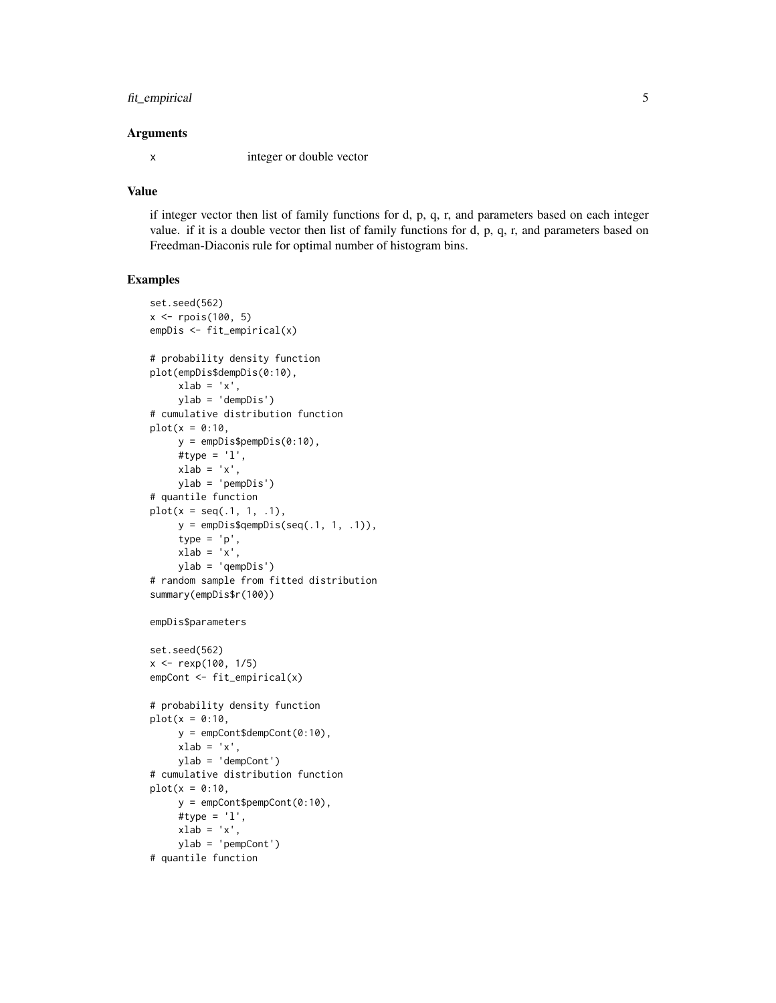#### fit\_empirical 5

#### Arguments

x integer or double vector

#### Value

if integer vector then list of family functions for d, p, q, r, and parameters based on each integer value. if it is a double vector then list of family functions for d, p, q, r, and parameters based on Freedman-Diaconis rule for optimal number of histogram bins.

```
set.seed(562)
x <- rpois(100, 5)
empDis <- fit_empirical(x)
# probability density function
plot(empDis$dempDis(0:10),
    xlab = 'x',
     ylab = 'dempDis')
# cumulative distribution function
plot(x = 0:10,y = empDis$pempDis(0:10),
     #type = 'l',
    xlab = 'x',
    ylab = 'pempDis')
# quantile function
plot(x = seq(.1, 1, .1),y =empDis$qempDis(seq(.1, 1, .1)),
     type = 'p',
    xlab = 'x',
    ylab = 'qempDis')
# random sample from fitted distribution
summary(empDis$r(100))
empDis$parameters
set.seed(562)
x <- rexp(100, 1/5)
empCont <- fit_empirical(x)
# probability density function
plot(x = 0:10,y = empCont$dempCont(0:10),
    xlab = 'x',
    ylab = 'dempCont')
# cumulative distribution function
plot(x = 0:10,y = empCont$pempCont(0:10),#type = 'l',
    xlab = 'x',
    ylab = 'pempCont')
# quantile function
```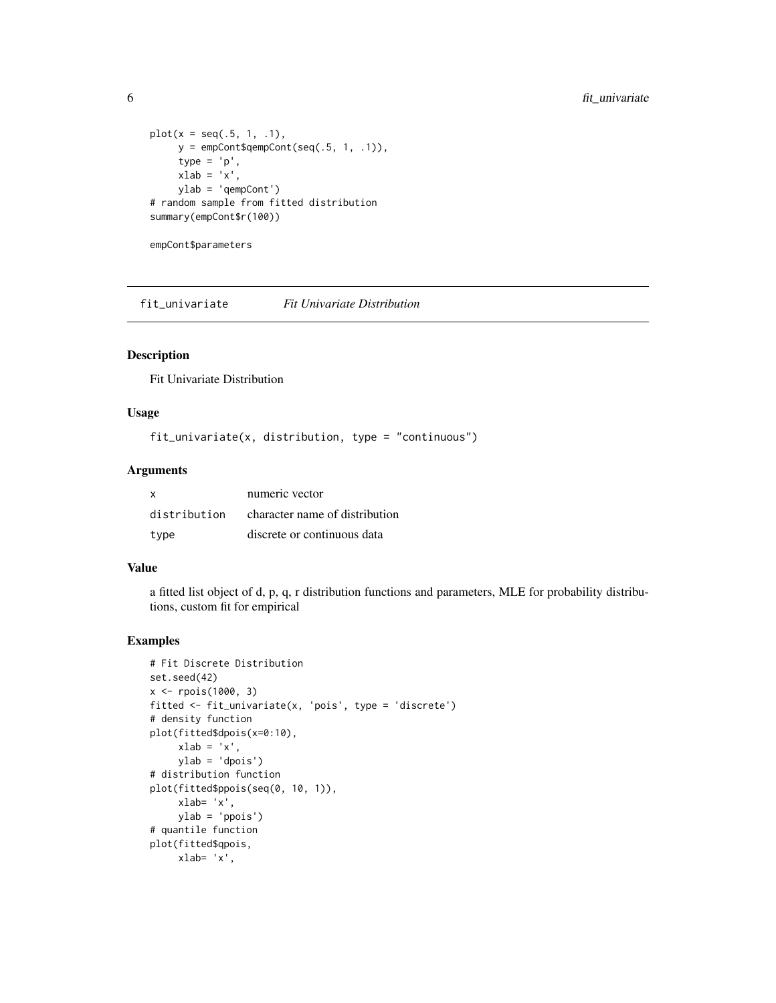```
plot(x = seq(.5, 1, .1),y = empCont$qempCont(seq(.5, 1, .1)),type = 'p',
    xlab = 'x',
    ylab = 'qempCont')
# random sample from fitted distribution
summary(empCont$r(100))
```

```
empCont$parameters
```
fit\_univariate *Fit Univariate Distribution*

#### Description

Fit Univariate Distribution

#### Usage

```
fit_univariate(x, distribution, type = "continuous")
```
#### Arguments

| <b>X</b>     | numeric vector                 |
|--------------|--------------------------------|
| distribution | character name of distribution |
| type         | discrete or continuous data    |

#### Value

a fitted list object of d, p, q, r distribution functions and parameters, MLE for probability distributions, custom fit for empirical

```
# Fit Discrete Distribution
set.seed(42)
x <- rpois(1000, 3)
fitted <- fit_univariate(x, 'pois', type = 'discrete')
# density function
plot(fitted$dpois(x=0:10),
     xlab = 'x',
     ylab = 'dpois')
# distribution function
plot(fitted$ppois(seq(0, 10, 1)),
     xlab= 'x',
     ylab = 'ppois')
# quantile function
plot(fitted$qpois,
    xlab= 'x',
```
<span id="page-5-0"></span>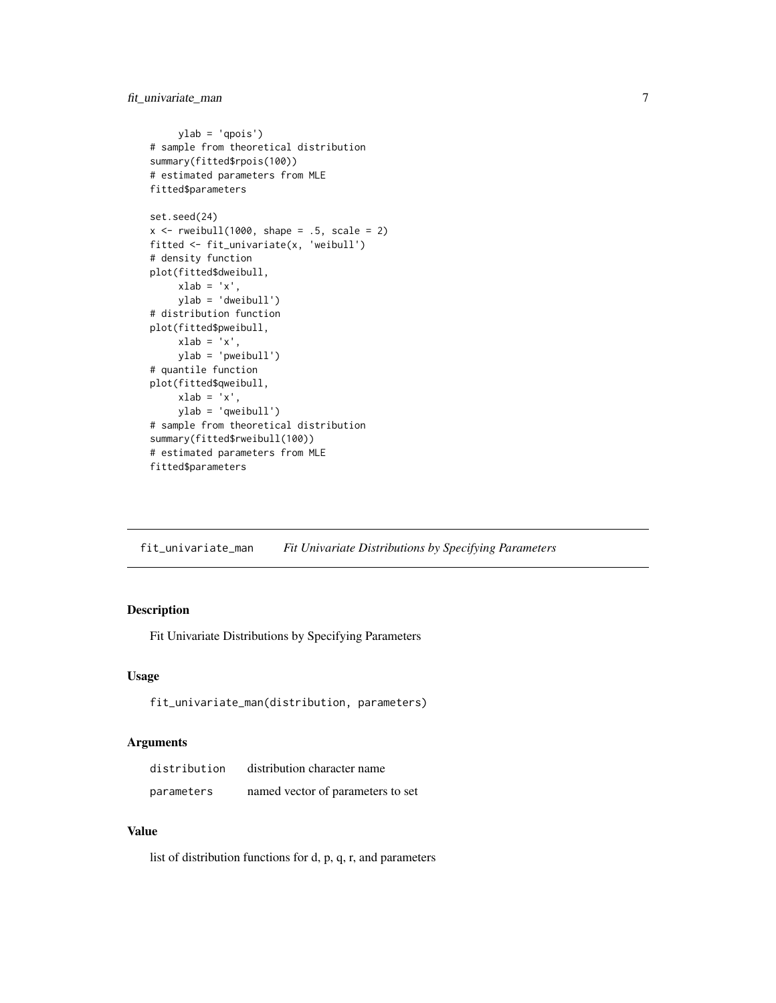#### <span id="page-6-0"></span>fit\_univariate\_man 7

```
ylab = 'qpois')
# sample from theoretical distribution
summary(fitted$rpois(100))
# estimated parameters from MLE
fitted$parameters
set.seed(24)
x \le rweibull(1000, shape = .5, scale = 2)
fitted <- fit_univariate(x, 'weibull')
# density function
plot(fitted$dweibull,
    xlab = 'x',
     ylab = 'dweibull')
# distribution function
plot(fitted$pweibull,
    xlab = 'x',
    ylab = 'pweibull')
# quantile function
plot(fitted$qweibull,
    xlab = 'x',
    ylab = 'qweibull')
# sample from theoretical distribution
summary(fitted$rweibull(100))
# estimated parameters from MLE
fitted$parameters
```
fit\_univariate\_man *Fit Univariate Distributions by Specifying Parameters*

#### Description

Fit Univariate Distributions by Specifying Parameters

#### Usage

```
fit_univariate_man(distribution, parameters)
```
#### Arguments

| distribution | distribution character name       |
|--------------|-----------------------------------|
| parameters   | named vector of parameters to set |

#### Value

list of distribution functions for d, p, q, r, and parameters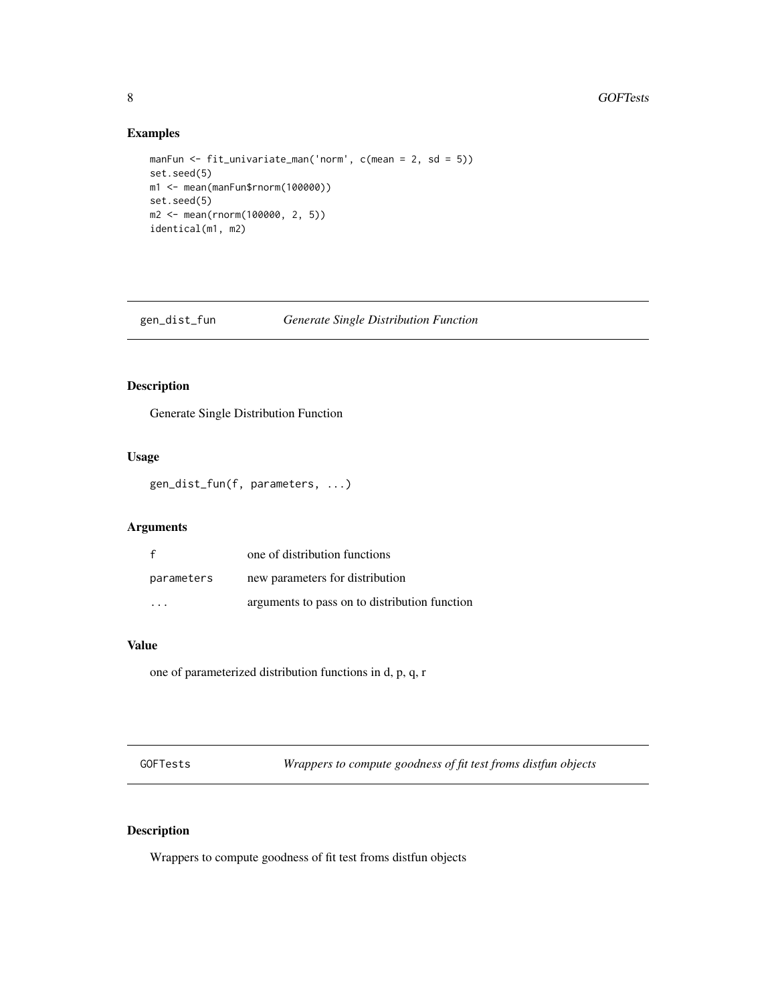#### Examples

```
manFun <- fit_univariate_man('norm', c(mean = 2, sd = 5))
set.seed(5)
m1 <- mean(manFun$rnorm(100000))
set.seed(5)
m2 <- mean(rnorm(100000, 2, 5))
identical(m1, m2)
```
gen\_dist\_fun *Generate Single Distribution Function*

#### Description

Generate Single Distribution Function

#### Usage

gen\_dist\_fun(f, parameters, ...)

#### Arguments

|            | one of distribution functions                 |
|------------|-----------------------------------------------|
| parameters | new parameters for distribution               |
| $\cdot$    | arguments to pass on to distribution function |

#### Value

one of parameterized distribution functions in d, p, q, r

GOFTests *Wrappers to compute goodness of fit test froms distfun objects*

#### Description

Wrappers to compute goodness of fit test froms distfun objects

<span id="page-7-0"></span>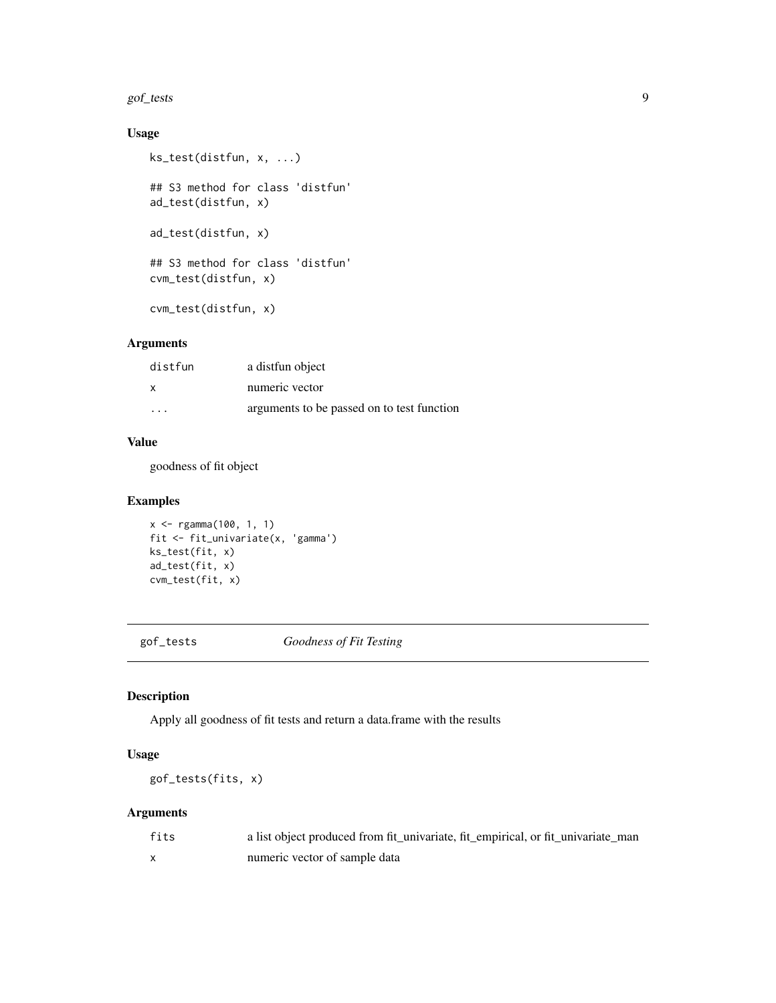#### <span id="page-8-0"></span>gof\_tests 9

#### Usage

```
ks_test(distfun, x, ...)
## S3 method for class 'distfun'
ad_test(distfun, x)
ad_test(distfun, x)
## S3 method for class 'distfun'
cvm_test(distfun, x)
cvm_test(distfun, x)
```
#### Arguments

| distfun                 | a distrun object                           |
|-------------------------|--------------------------------------------|
| X                       | numeric vector                             |
| $\cdot$ $\cdot$ $\cdot$ | arguments to be passed on to test function |

#### Value

goodness of fit object

#### Examples

```
x <- rgamma(100, 1, 1)
fit <- fit_univariate(x, 'gamma')
ks_test(fit, x)
ad_test(fit, x)
cvm_test(fit, x)
```
gof\_tests *Goodness of Fit Testing*

#### Description

Apply all goodness of fit tests and return a data.frame with the results

#### Usage

gof\_tests(fits, x)

#### Arguments

| fits | a list object produced from fit_univariate, fit_empirical, or fit_univariate_man |
|------|----------------------------------------------------------------------------------|
|      | numeric vector of sample data                                                    |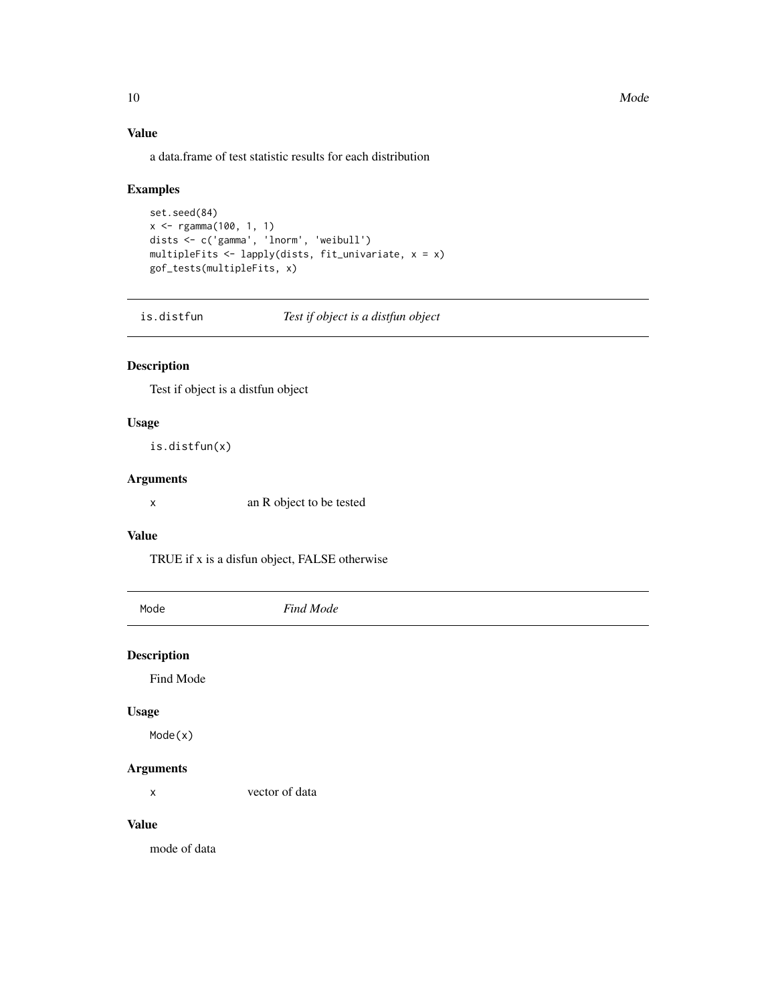<span id="page-9-0"></span>10 Mode

#### Value

a data.frame of test statistic results for each distribution

#### Examples

```
set.seed(84)
x <- rgamma(100, 1, 1)
dists <- c('gamma', 'lnorm', 'weibull')
multipleFits <- lapply(dists, fit_univariate, x = x)
gof_tests(multipleFits, x)
```
is.distfun *Test if object is a distfun object*

#### Description

Test if object is a distfun object

#### Usage

is.distfun(x)

#### Arguments

x an R object to be tested

#### Value

TRUE if x is a disfun object, FALSE otherwise

| Mode               | Find Mode      |
|--------------------|----------------|
| <b>Description</b> |                |
|                    |                |
| Find Mode          |                |
| <b>Usage</b>       |                |
| Mode(x)            |                |
| <b>Arguments</b>   |                |
| X                  | vector of data |
| <b>Value</b>       |                |
| mode of data       |                |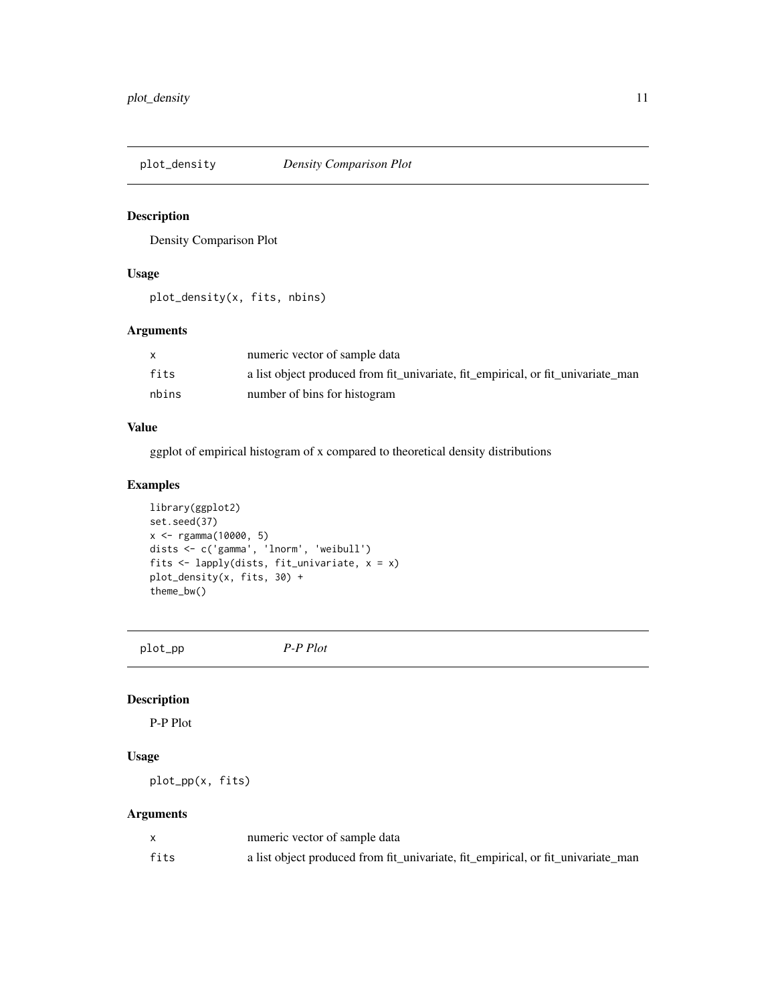<span id="page-10-0"></span>

#### Description

Density Comparison Plot

#### Usage

plot\_density(x, fits, nbins)

#### Arguments

|       | numeric vector of sample data                                                    |
|-------|----------------------------------------------------------------------------------|
| fits  | a list object produced from fit_univariate, fit_empirical, or fit_univariate_man |
| nbins | number of bins for histogram                                                     |

#### Value

ggplot of empirical histogram of x compared to theoretical density distributions

#### Examples

```
library(ggplot2)
set.seed(37)
x <- rgamma(10000, 5)
dists <- c('gamma', 'lnorm', 'weibull')
fits <- lapply(dists, fit_univariate, x = x)
plot_density(x, fits, 30) +
theme_bw()
```
plot\_pp *P-P Plot*

#### Description

P-P Plot

#### Usage

plot\_pp(x, fits)

#### Arguments

|      | numeric vector of sample data                                                    |
|------|----------------------------------------------------------------------------------|
| fits | a list object produced from fit_univariate, fit_empirical, or fit_univariate_man |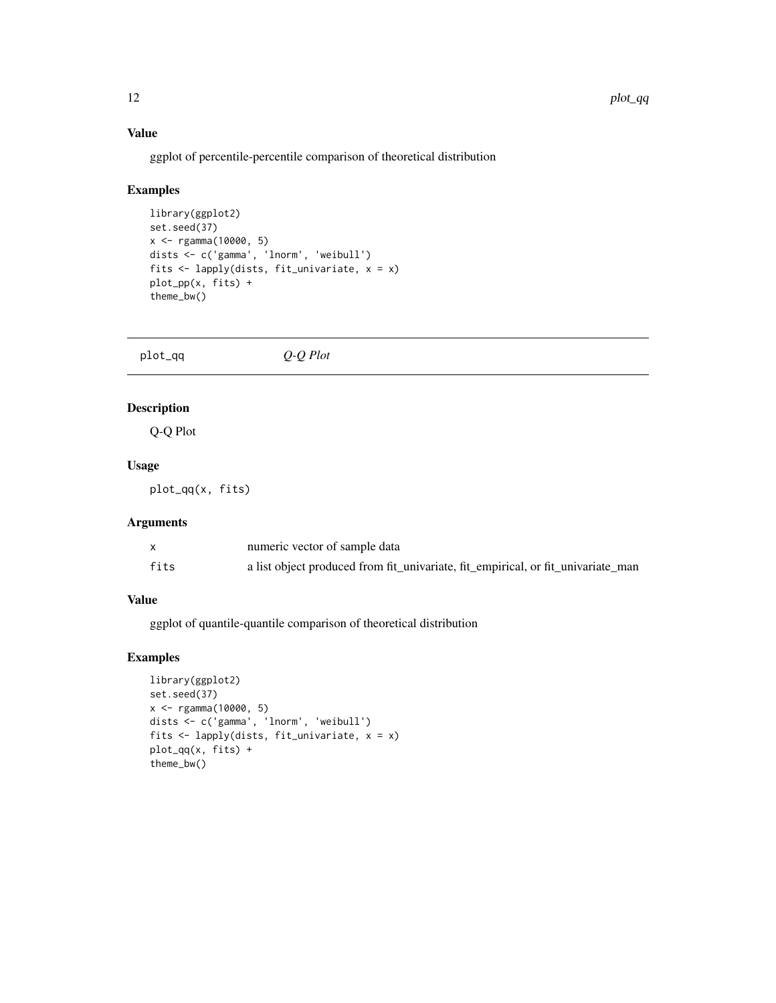#### <span id="page-11-0"></span>Value

ggplot of percentile-percentile comparison of theoretical distribution

#### Examples

```
library(ggplot2)
set.seed(37)
x <- rgamma(10000, 5)
dists <- c('gamma', 'lnorm', 'weibull')
fits <- lapply(dists, fit_univariate, x = x)
plot_pp(x, fits) +
theme_bw()
```
plot\_qq *Q-Q Plot*

#### Description

Q-Q Plot

#### Usage

plot\_qq(x, fits)

#### Arguments

|      | numeric vector of sample data                                                    |
|------|----------------------------------------------------------------------------------|
| fits | a list object produced from fit_univariate, fit_empirical, or fit_univariate_man |

#### Value

ggplot of quantile-quantile comparison of theoretical distribution

```
library(ggplot2)
set.seed(37)
x <- rgamma(10000, 5)
dists <- c('gamma', 'lnorm', 'weibull')
fits <- lapply(dists, fit_univariate, x = x)
plot_qq(x, fits) +
theme_bw()
```